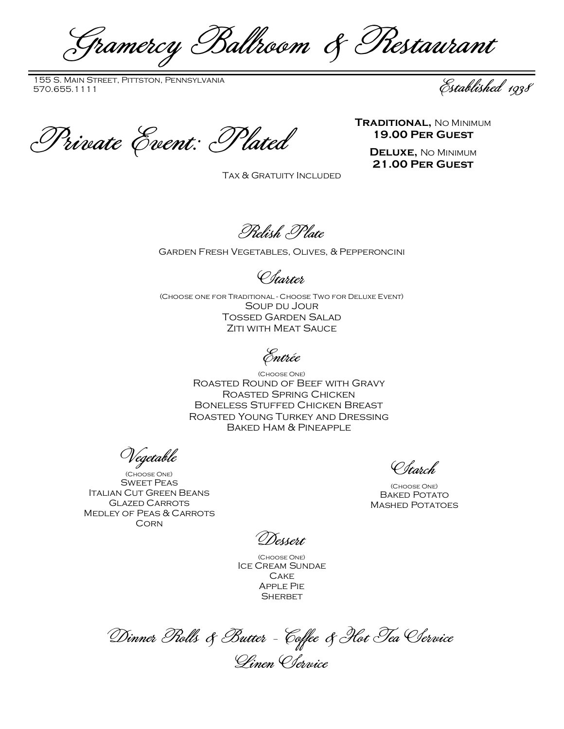Gramercy Ballroom & Restaurant

155 S. Main Street, Pittston, Pennsylvania 155 S. MAIN STREET, PITTSTON, PENNSYLVANIA<br>570.655.1111 Established 1938

TRADITIONAL, NO MINIMUM<br>Private Event: Plated 19.00 PER GUEST

**19.00 Per Guest**

**Deluxe,** No Minimum **21.00 Per Guest**

Tax & Gratuity Included

Relish Plate

## Garden Fresh Vegetables, Olives, & Pepperoncini

Starter

(Choose one for Traditional - Choose Two for Deluxe Event) Soup du Jour Tossed Garden Salad **ZITI WITH MEAT SAUCE** 

Entrée

(Choose One) Roasted Round of Beef with Gravy Roasted Spring Chicken Boneless Stuffed Chicken Breast Roasted Young Turkey and Dressing Baked Ham & Pineapple

Vegetable

(Choose One) Sweet Peas Italian Cut Green Beans Glazed Carrots Medley of Peas & Carrots **CORN** 

Starch

(Choose One) **BAKED POTATO** Mashed Potatoes

Dessert

(Choose One) Ice Cream Sundae **CAKE** Apple Pie **SHERBET** 

Dinner Rolls & Butter - Coffee & Hot Tea Service Linen Service